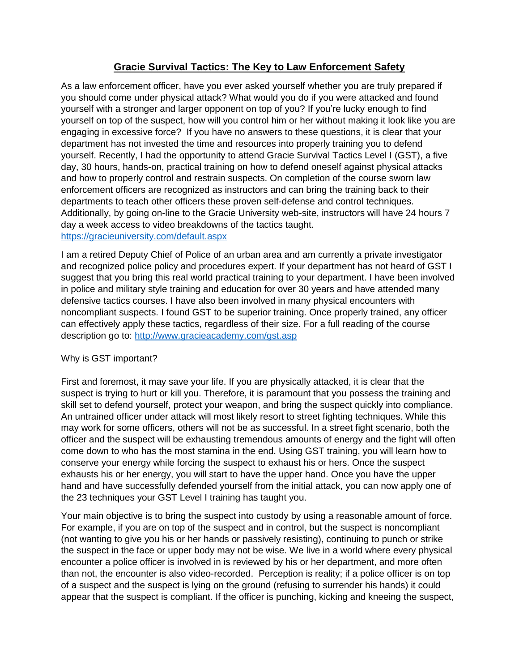## **Gracie Survival Tactics: The Key to Law Enforcement Safety**

As a law enforcement officer, have you ever asked yourself whether you are truly prepared if you should come under physical attack? What would you do if you were attacked and found yourself with a stronger and larger opponent on top of you? If you're lucky enough to find yourself on top of the suspect, how will you control him or her without making it look like you are engaging in excessive force? If you have no answers to these questions, it is clear that your department has not invested the time and resources into properly training you to defend yourself. Recently, I had the opportunity to attend Gracie Survival Tactics Level I (GST), a five day, 30 hours, hands-on, practical training on how to defend oneself against physical attacks and how to properly control and restrain suspects. On completion of the course sworn law enforcement officers are recognized as instructors and can bring the training back to their departments to teach other officers these proven self-defense and control techniques. Additionally, by going on-line to the Gracie University web-site, instructors will have 24 hours 7 day a week access to video breakdowns of the tactics taught. <https://gracieuniversity.com/default.aspx>

I am a retired Deputy Chief of Police of an urban area and am currently a private investigator and recognized police policy and procedures expert. If your department has not heard of GST I suggest that you bring this real world practical training to your department. I have been involved in police and military style training and education for over 30 years and have attended many defensive tactics courses. I have also been involved in many physical encounters with noncompliant suspects. I found GST to be superior training. Once properly trained, any officer can effectively apply these tactics, regardless of their size. For a full reading of the course description go to:<http://www.gracieacademy.com/gst.asp>

## Why is GST important?

First and foremost, it may save your life. If you are physically attacked, it is clear that the suspect is trying to hurt or kill you. Therefore, it is paramount that you possess the training and skill set to defend yourself, protect your weapon, and bring the suspect quickly into compliance. An untrained officer under attack will most likely resort to street fighting techniques. While this may work for some officers, others will not be as successful. In a street fight scenario, both the officer and the suspect will be exhausting tremendous amounts of energy and the fight will often come down to who has the most stamina in the end. Using GST training, you will learn how to conserve your energy while forcing the suspect to exhaust his or hers. Once the suspect exhausts his or her energy, you will start to have the upper hand. Once you have the upper hand and have successfully defended yourself from the initial attack, you can now apply one of the 23 techniques your GST Level I training has taught you.

Your main objective is to bring the suspect into custody by using a reasonable amount of force. For example, if you are on top of the suspect and in control, but the suspect is noncompliant (not wanting to give you his or her hands or passively resisting), continuing to punch or strike the suspect in the face or upper body may not be wise. We live in a world where every physical encounter a police officer is involved in is reviewed by his or her department, and more often than not, the encounter is also video-recorded. Perception is reality; if a police officer is on top of a suspect and the suspect is lying on the ground (refusing to surrender his hands) it could appear that the suspect is compliant. If the officer is punching, kicking and kneeing the suspect,